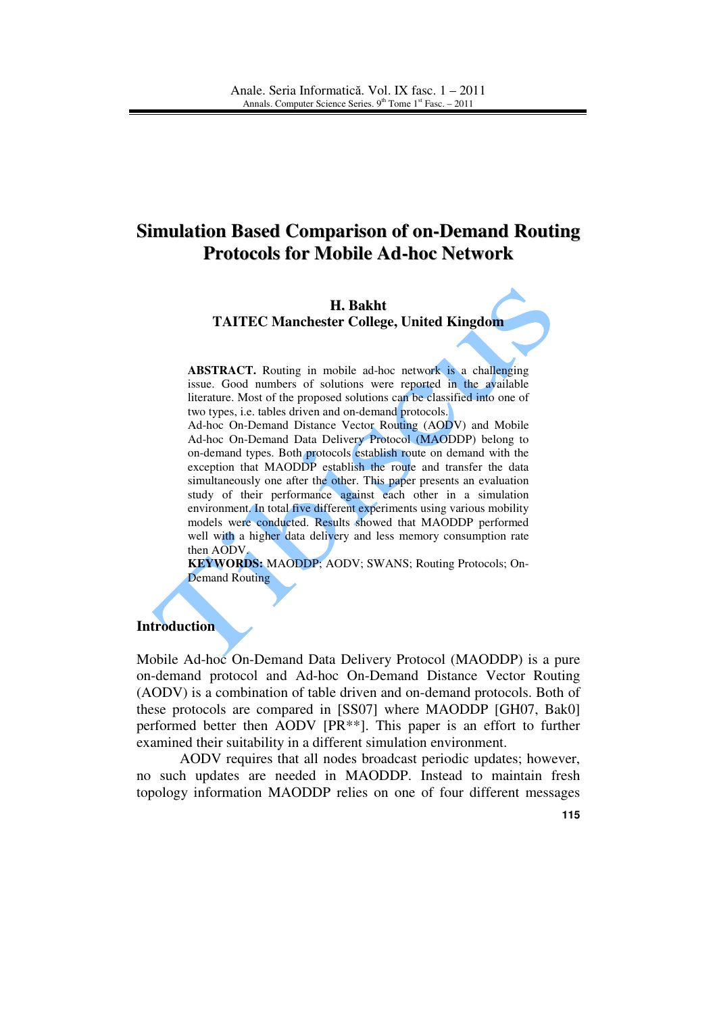# **Simulation Based Comparison of on-Demand Routing Protocols for Mobile Ad-hoc Network**

#### **H. Bakht**

**TAITEC Manchester College, United Kingdom** 

**ABSTRACT.** Routing in mobile ad-hoc network is a challenging issue. Good numbers of solutions were reported in the available literature. Most of the proposed solutions can be classified into one of two types, i.e. tables driven and on-demand protocols.

Ad-hoc On-Demand Distance Vector Routing (AODV) and Mobile Ad-hoc On-Demand Data Delivery Protocol (MAODDP) belong to on-demand types. Both protocols establish route on demand with the exception that MAODDP establish the route and transfer the data simultaneously one after the other. This paper presents an evaluation study of their performance against each other in a simulation environment. In total five different experiments using various mobility models were conducted. Results showed that MAODDP performed well with a higher data delivery and less memory consumption rate then AODV.

**KEYWORDS:** MAODDP; AODV; SWANS; Routing Protocols; On-Demand Routing

#### **Introduction**

Mobile Ad-hoc On-Demand Data Delivery Protocol (MAODDP) is a pure on-demand protocol and Ad-hoc On-Demand Distance Vector Routing (AODV) is a combination of table driven and on-demand protocols. Both of these protocols are compared in [SS07] where MAODDP [GH07, Bak0] performed better then AODV [PR\*\*]. This paper is an effort to further examined their suitability in a different simulation environment.

AODV requires that all nodes broadcast periodic updates; however, no such updates are needed in MAODDP. Instead to maintain fresh topology information MAODDP relies on one of four different messages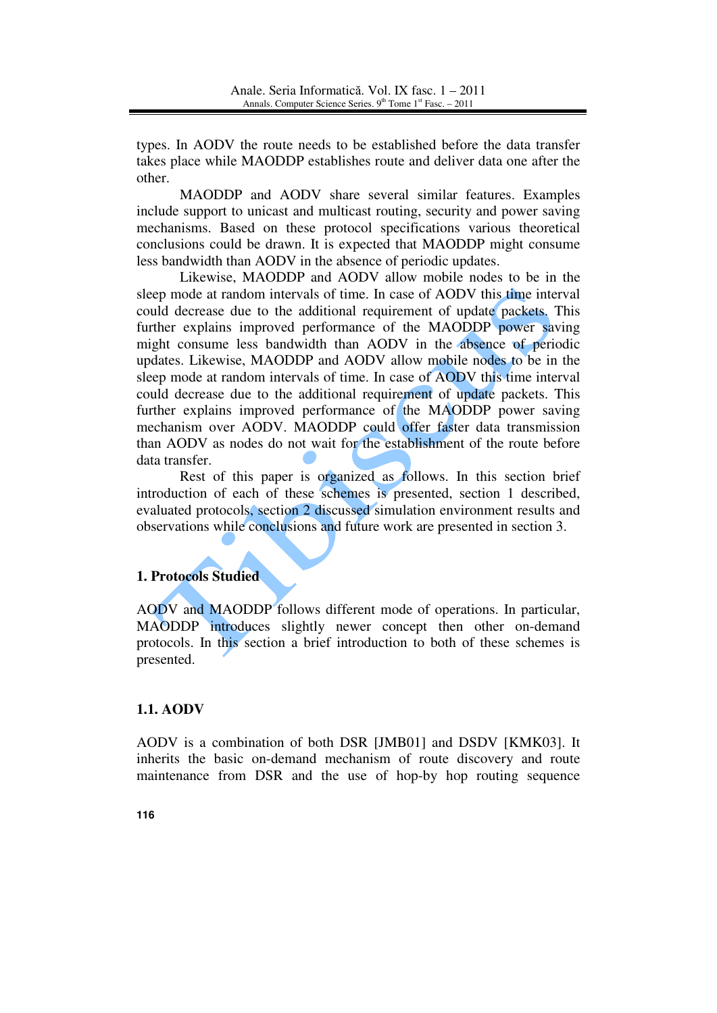types. In AODV the route needs to be established before the data transfer takes place while MAODDP establishes route and deliver data one after the other.

MAODDP and AODV share several similar features. Examples include support to unicast and multicast routing, security and power saving mechanisms. Based on these protocol specifications various theoretical conclusions could be drawn. It is expected that MAODDP might consume less bandwidth than AODV in the absence of periodic updates.

Likewise, MAODDP and AODV allow mobile nodes to be in the sleep mode at random intervals of time. In case of AODV this time interval could decrease due to the additional requirement of update packets. This further explains improved performance of the MAODDP power saving might consume less bandwidth than AODV in the absence of periodic updates. Likewise, MAODDP and AODV allow mobile nodes to be in the sleep mode at random intervals of time. In case of AODV this time interval could decrease due to the additional requirement of update packets. This further explains improved performance of the MAODDP power saving mechanism over AODV. MAODDP could offer faster data transmission than AODV as nodes do not wait for the establishment of the route before data transfer.

Rest of this paper is organized as follows. In this section brief introduction of each of these schemes is presented, section 1 described, evaluated protocols, section 2 discussed simulation environment results and observations while conclusions and future work are presented in section 3.

# **1. Protocols Studied**

AODV and MAODDP follows different mode of operations. In particular, MAODDP introduces slightly newer concept then other on-demand protocols. In this section a brief introduction to both of these schemes is presented.

## **1.1. AODV**

AODV is a combination of both DSR [JMB01] and DSDV [KMK03]. It inherits the basic on-demand mechanism of route discovery and route maintenance from DSR and the use of hop-by hop routing sequence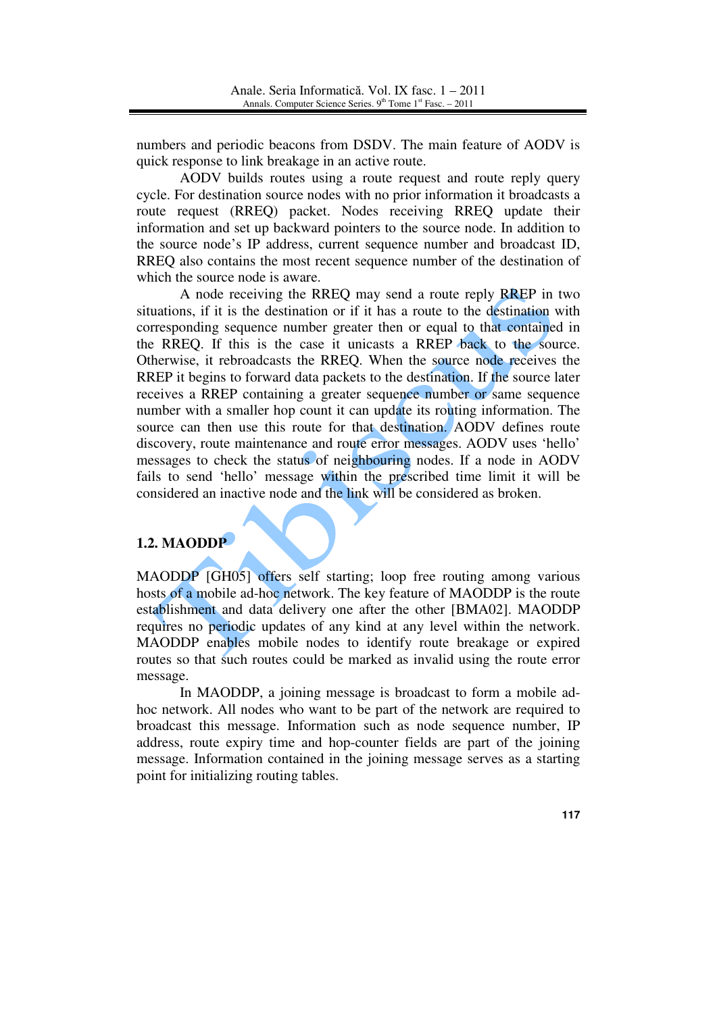numbers and periodic beacons from DSDV. The main feature of AODV is quick response to link breakage in an active route.

AODV builds routes using a route request and route reply query cycle. For destination source nodes with no prior information it broadcasts a route request (RREQ) packet. Nodes receiving RREQ update their information and set up backward pointers to the source node. In addition to the source node's IP address, current sequence number and broadcast ID, RREQ also contains the most recent sequence number of the destination of which the source node is aware.

A node receiving the RREQ may send a route reply RREP in two situations, if it is the destination or if it has a route to the destination with corresponding sequence number greater then or equal to that contained in the RREQ. If this is the case it unicasts a RREP back to the source. Otherwise, it rebroadcasts the RREQ. When the source node receives the RREP it begins to forward data packets to the destination. If the source later receives a RREP containing a greater sequence number or same sequence number with a smaller hop count it can update its routing information. The source can then use this route for that destination. AODV defines route discovery, route maintenance and route error messages. AODV uses 'hello' messages to check the status of neighbouring nodes. If a node in AODV fails to send 'hello' message within the prescribed time limit it will be considered an inactive node and the link will be considered as broken.

# **1.2. MAODDP**

MAODDP [GH05] offers self starting; loop free routing among various hosts of a mobile ad-hoc network. The key feature of MAODDP is the route establishment and data delivery one after the other [BMA02]. MAODDP requires no periodic updates of any kind at any level within the network. MAODDP enables mobile nodes to identify route breakage or expired routes so that such routes could be marked as invalid using the route error message.

In MAODDP, a joining message is broadcast to form a mobile adhoc network. All nodes who want to be part of the network are required to broadcast this message. Information such as node sequence number, IP address, route expiry time and hop-counter fields are part of the joining message. Information contained in the joining message serves as a starting point for initializing routing tables.

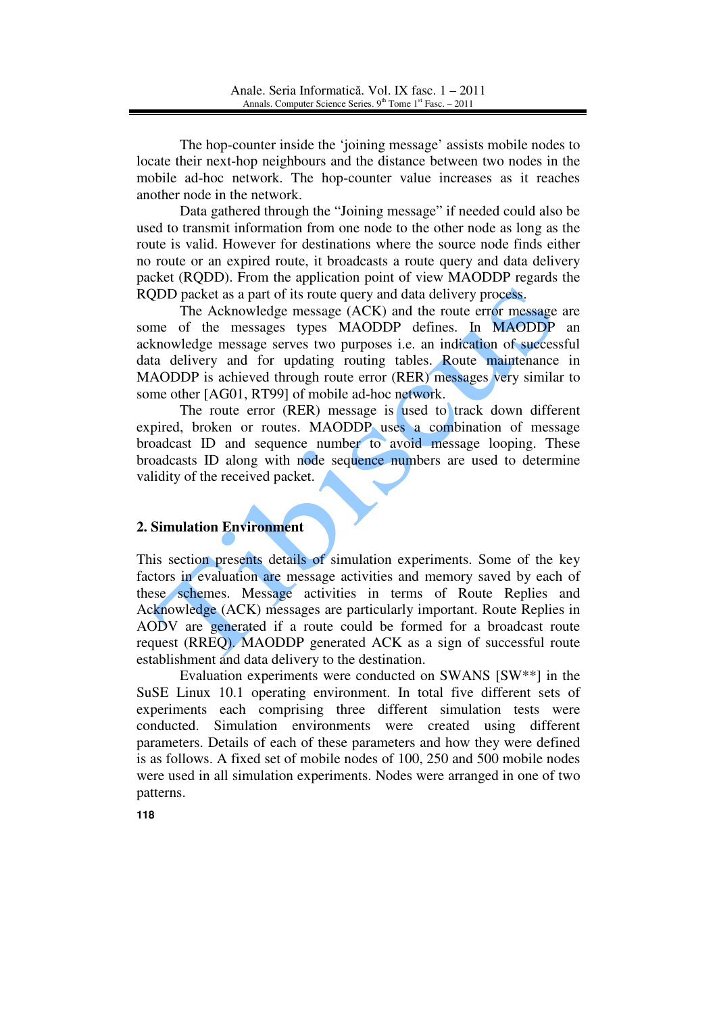The hop-counter inside the 'joining message' assists mobile nodes to locate their next-hop neighbours and the distance between two nodes in the mobile ad-hoc network. The hop-counter value increases as it reaches another node in the network.

Data gathered through the "Joining message" if needed could also be used to transmit information from one node to the other node as long as the route is valid. However for destinations where the source node finds either no route or an expired route, it broadcasts a route query and data delivery packet (RQDD). From the application point of view MAODDP regards the RQDD packet as a part of its route query and data delivery process.

The Acknowledge message (ACK) and the route error message are some of the messages types MAODDP defines. In MAODDP an acknowledge message serves two purposes i.e. an indication of successful data delivery and for updating routing tables. Route maintenance in MAODDP is achieved through route error (RER) messages very similar to some other [AG01, RT99] of mobile ad-hoc network.

The route error (RER) message is used to track down different expired, broken or routes. MAODDP uses a combination of message broadcast ID and sequence number to avoid message looping. These broadcasts ID along with node sequence numbers are used to determine validity of the received packet.

# **2. Simulation Environment**

This section presents details of simulation experiments. Some of the key factors in evaluation are message activities and memory saved by each of these schemes. Message activities in terms of Route Replies and Acknowledge (ACK) messages are particularly important. Route Replies in AODV are generated if a route could be formed for a broadcast route request (RREQ). MAODDP generated ACK as a sign of successful route establishment and data delivery to the destination.

Evaluation experiments were conducted on SWANS [SW\*\*] in the SuSE Linux 10.1 operating environment. In total five different sets of experiments each comprising three different simulation tests were conducted. Simulation environments were created using different parameters. Details of each of these parameters and how they were defined is as follows. A fixed set of mobile nodes of 100, 250 and 500 mobile nodes were used in all simulation experiments. Nodes were arranged in one of two patterns.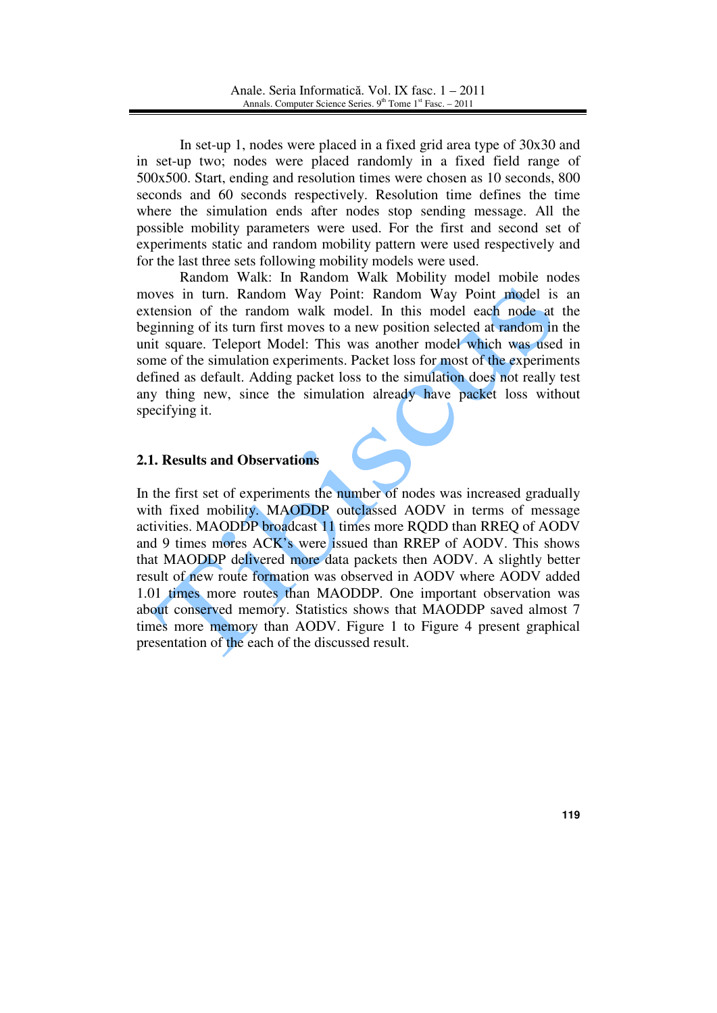In set-up 1, nodes were placed in a fixed grid area type of 30x30 and in set-up two; nodes were placed randomly in a fixed field range of 500x500. Start, ending and resolution times were chosen as 10 seconds, 800 seconds and 60 seconds respectively. Resolution time defines the time where the simulation ends after nodes stop sending message. All the possible mobility parameters were used. For the first and second set of experiments static and random mobility pattern were used respectively and for the last three sets following mobility models were used.

Random Walk: In Random Walk Mobility model mobile nodes moves in turn. Random Way Point: Random Way Point model is an extension of the random walk model. In this model each node at the beginning of its turn first moves to a new position selected at random in the unit square. Teleport Model: This was another model which was used in some of the simulation experiments. Packet loss for most of the experiments defined as default. Adding packet loss to the simulation does not really test any thing new, since the simulation already have packet loss without specifying it.

## **2.1. Results and Observations**

In the first set of experiments the number of nodes was increased gradually with fixed mobility. MAODDP outclassed AODV in terms of message activities. MAODDP broadcast 11 times more RQDD than RREQ of AODV and 9 times mores ACK's were issued than RREP of AODV. This shows that MAODDP delivered more data packets then AODV. A slightly better result of new route formation was observed in AODV where AODV added 1.01 times more routes than MAODDP. One important observation was about conserved memory. Statistics shows that MAODDP saved almost 7 times more memory than AODV. Figure 1 to Figure 4 present graphical presentation of the each of the discussed result.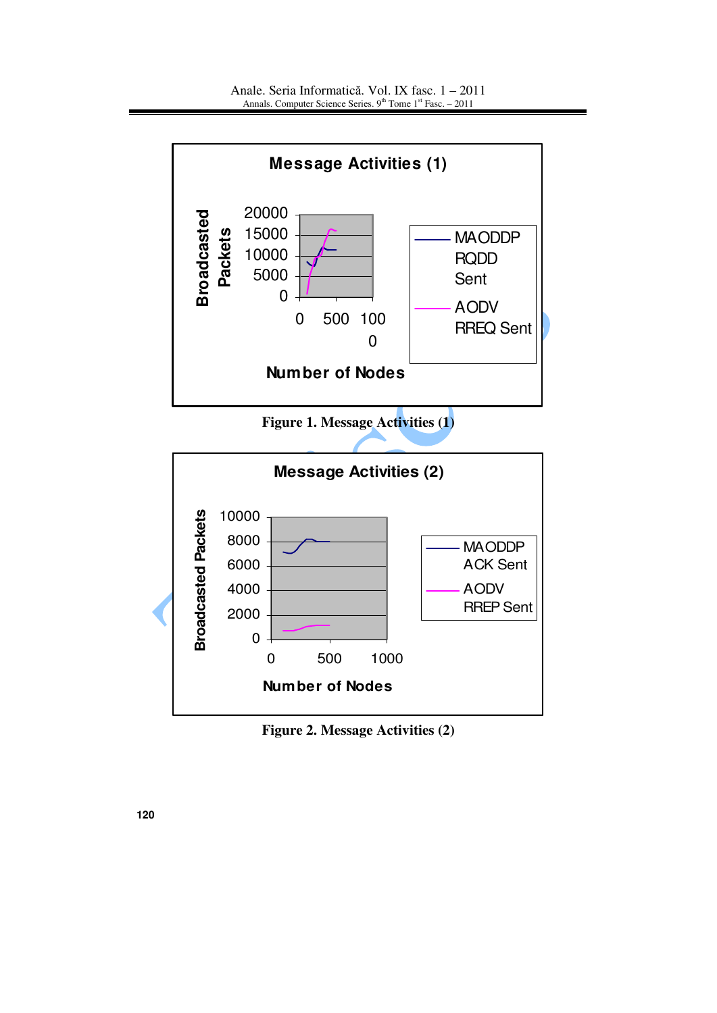

**Figure 2. Message Activities (2)**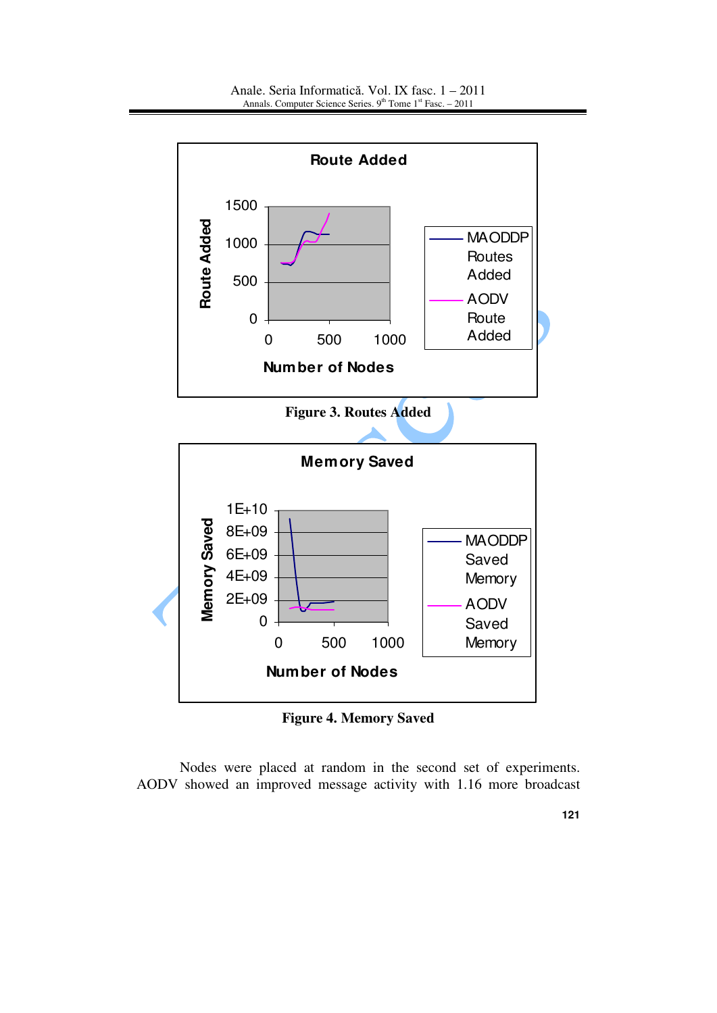

**Figure 4. Memory Saved** 

Nodes were placed at random in the second set of experiments. AODV showed an improved message activity with 1.16 more broadcast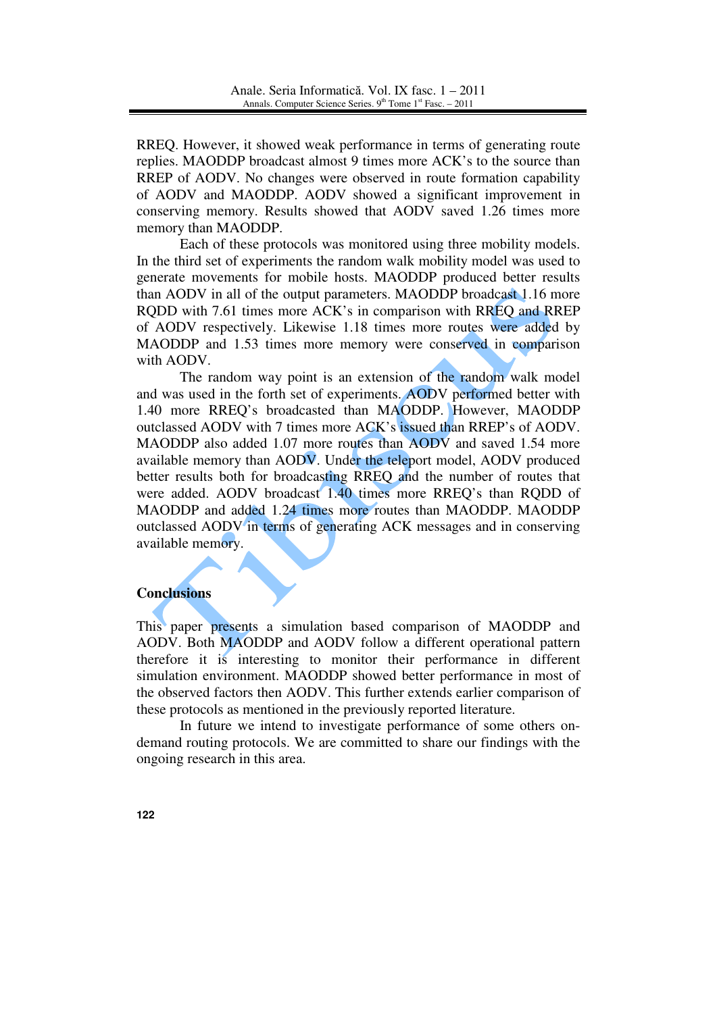RREQ. However, it showed weak performance in terms of generating route replies. MAODDP broadcast almost 9 times more ACK's to the source than RREP of AODV. No changes were observed in route formation capability of AODV and MAODDP. AODV showed a significant improvement in conserving memory. Results showed that AODV saved 1.26 times more memory than MAODDP.

Each of these protocols was monitored using three mobility models. In the third set of experiments the random walk mobility model was used to generate movements for mobile hosts. MAODDP produced better results than AODV in all of the output parameters. MAODDP broadcast 1.16 more RQDD with 7.61 times more ACK's in comparison with RREQ and RREP of AODV respectively. Likewise 1.18 times more routes were added by MAODDP and 1.53 times more memory were conserved in comparison with AODV.

The random way point is an extension of the random walk model and was used in the forth set of experiments. AODV performed better with 1.40 more RREQ's broadcasted than MAODDP. However, MAODDP outclassed AODV with 7 times more ACK's issued than RREP's of AODV. MAODDP also added 1.07 more routes than AODV and saved 1.54 more available memory than AODV. Under the teleport model, AODV produced better results both for broadcasting RREQ and the number of routes that were added. AODV broadcast 1.40 times more RREQ's than RQDD of MAODDP and added 1.24 times more routes than MAODDP. MAODDP outclassed AODV in terms of generating ACK messages and in conserving available memory.

## **Conclusions**

This paper presents a simulation based comparison of MAODDP and AODV. Both MAODDP and AODV follow a different operational pattern therefore it is interesting to monitor their performance in different simulation environment. MAODDP showed better performance in most of the observed factors then AODV. This further extends earlier comparison of these protocols as mentioned in the previously reported literature.

In future we intend to investigate performance of some others ondemand routing protocols. We are committed to share our findings with the ongoing research in this area.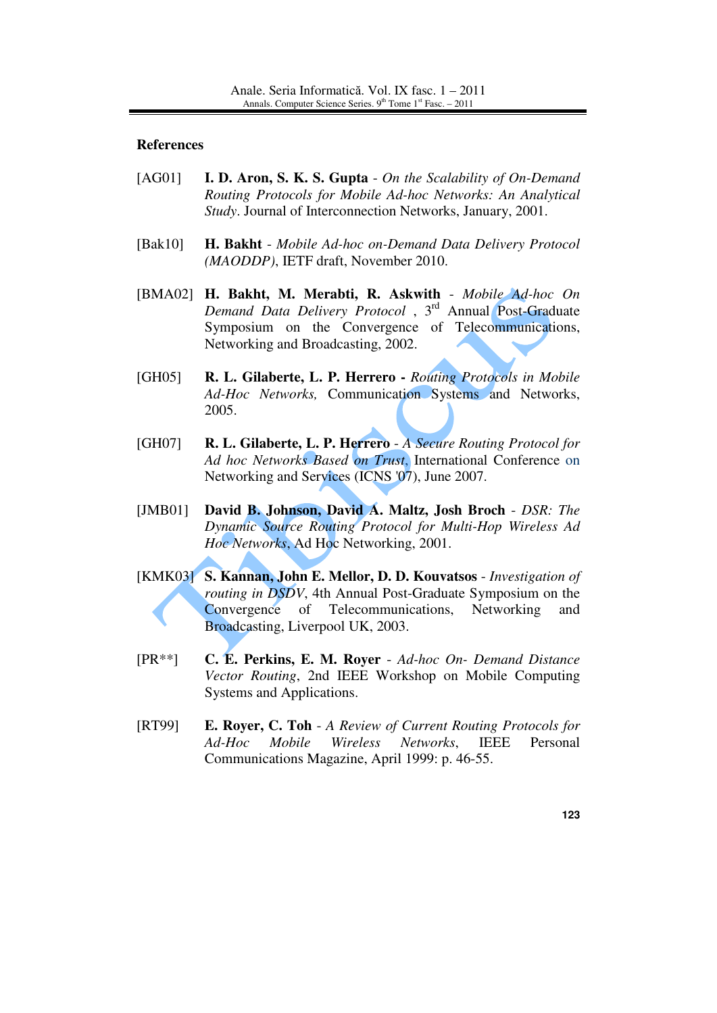#### **References**

- [AG01] **I. D. Aron, S. K. S. Gupta** *On the Scalability of On-Demand Routing Protocols for Mobile Ad-hoc Networks: An Analytical Study*. Journal of Interconnection Networks, January, 2001.
- [Bak10] **H. Bakht**  *Mobile Ad-hoc on-Demand Data Delivery Protocol (MAODDP)*, IETF draft, November 2010.
- [BMA02] **H. Bakht, M. Merabti, R. Askwith** *Mobile Ad-hoc On Demand Data Delivery Protocol* , 3rd Annual Post-Graduate Symposium on the Convergence of Telecommunications, Networking and Broadcasting, 2002.
- [GH05] **R. L. Gilaberte, L. P. Herrero** *Routing Protocols in Mobile Ad-Hoc Networks,* Communication Systems and Networks, 2005.
- [GH07] **R. L. Gilaberte, L. P. Herrero**  *A Secure Routing Protocol for Ad hoc Networks Based on Trust*, International Conference on Networking and Services (ICNS '07), June 2007.
- [JMB01] **David B. Johnson, David A. Maltz, Josh Broch** *DSR: The Dynamic Source Routing Protocol for Multi-Hop Wireless Ad Hoc Networks*, Ad Hoc Networking, 2001.
- [KMK03] **S. Kannan, John E. Mellor, D. D. Kouvatsos** *Investigation of routing in DSDV*, 4th Annual Post-Graduate Symposium on the Convergence of Telecommunications, Networking and Broadcasting, Liverpool UK, 2003.
- [PR\*\*] **C. E. Perkins, E. M. Royer** *Ad-hoc On- Demand Distance Vector Routing*, 2nd IEEE Workshop on Mobile Computing Systems and Applications.
- [RT99] **E. Royer, C. Toh** *A Review of Current Routing Protocols for Ad-Hoc Mobile Wireless Networks*, IEEE Personal Communications Magazine, April 1999: p. 46-55.